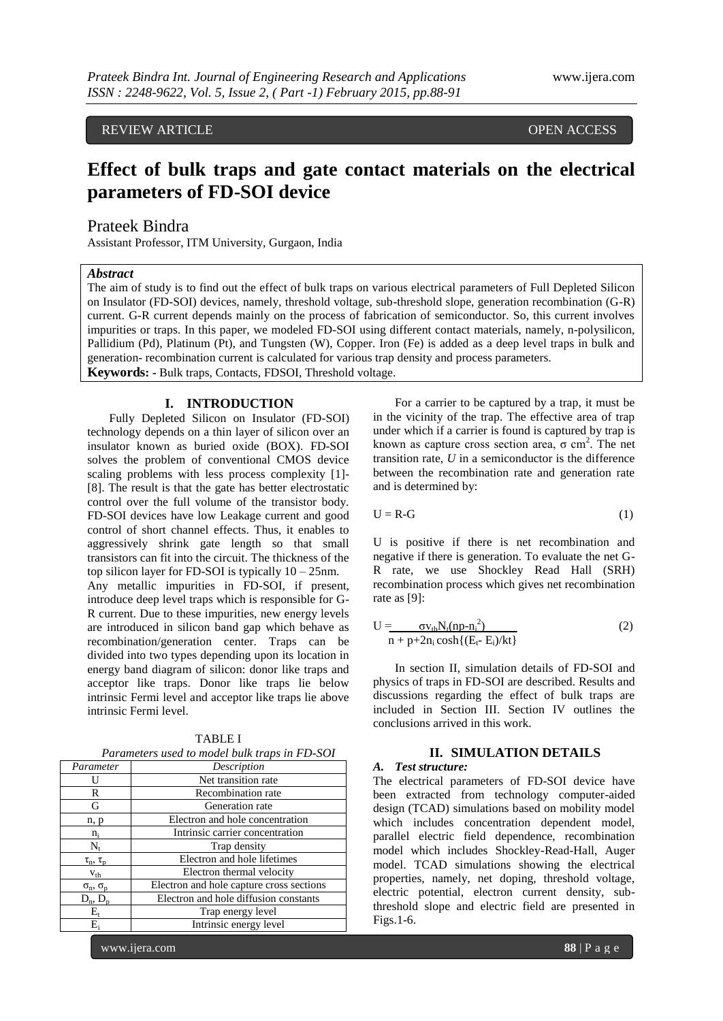# REVIEW ARTICLE **External open access** open access of the set of the set of the set of the set of the set of the set of the set of the set of the set of the set of the set of the set of the set of the set of the set of the

# **Effect of bulk traps and gate contact materials on the electrical parameters of FD-SOI device**

## Prateek Bindra

Assistant Professor, ITM University, Gurgaon, India

## *Abstract*

The aim of study is to find out the effect of bulk traps on various electrical parameters of Full Depleted Silicon on Insulator (FD-SOI) devices, namely, threshold voltage, sub-threshold slope, generation recombination (G-R) current. G-R current depends mainly on the process of fabrication of semiconductor. So, this current involves impurities or traps. In this paper, we modeled FD-SOI using different contact materials, namely, n-polysilicon, Pallidium (Pd), Platinum (Pt), and Tungsten (W), Copper. Iron (Fe) is added as a deep level traps in bulk and generation- recombination current is calculated for various trap density and process parameters. **Keywords: -** Bulk traps, Contacts, FDSOI, Threshold voltage.

## **I. INTRODUCTION**

Fully Depleted Silicon on Insulator (FD-SOI) technology depends on a thin layer of silicon over an insulator known as buried oxide (BOX). FD-SOI solves the problem of conventional CMOS device scaling problems with less process complexity [1]- [8]. The result is that the gate has better electrostatic control over the full volume of the transistor body. FD-SOI devices have low Leakage current and good control of short channel effects. Thus, it enables to aggressively shrink gate length so that small transistors can fit into the circuit. The thickness of the top silicon layer for FD-SOI is typically  $10 - 25$ nm. Any metallic impurities in FD-SOI, if present, introduce deep level traps which is responsible for G-R current. Due to these impurities, new energy levels are introduced in silicon band gap which behave as recombination/generation center. Traps can be divided into two types depending upon its location in energy band diagram of silicon: donor like traps and acceptor like traps. Donor like traps lie below intrinsic Fermi level and acceptor like traps lie above intrinsic Fermi level.

| r arament s asca to mouer bain trups in 1 D SOT |                                          |
|-------------------------------------------------|------------------------------------------|
| Parameter                                       | Description                              |
|                                                 | Net transition rate                      |
| R                                               | Recombination rate                       |
| G                                               | Generation rate                          |
| n, p                                            | Electron and hole concentration          |
| $n_i$                                           | Intrinsic carrier concentration          |
| $\rm N_{\rm r}$                                 | Trap density                             |
| $\tau_{\rm n}, \tau_{\rm p}$                    | Electron and hole lifetimes              |
| $v_{th}$                                        | Electron thermal velocity                |
| $\sigma_{\rm n}$ , $\sigma_{\rm p}$             | Electron and hole capture cross sections |
| $D_n, D_p$                                      | Electron and hole diffusion constants    |
| E,                                              | Trap energy level                        |
| E.                                              | Intrinsic energy level                   |

TABLE I *Parameters used to model bulk traps in FD-SOI*

For a carrier to be captured by a trap, it must be in the vicinity of the trap. The effective area of trap under which if a carrier is found is captured by trap is known as capture cross section area,  $\sigma$  cm<sup>2</sup>. The net transition rate, *U* in a semiconductor is the difference between the recombination rate and generation rate and is determined by:

$$
U = R - G \tag{1}
$$

U is positive if there is net recombination and negative if there is generation. To evaluate the net G-R rate, we use Shockley Read Hall (SRH) recombination process which gives net recombination rate as [9]:

$$
U = \frac{\sigma v_{th} N_t (np - n_i^2)}{n + p + 2n_i \cosh\{(E_t - E_i)/kt\}}\tag{2}
$$

In section II, simulation details of FD-SOI and physics of traps in FD-SOI are described. Results and discussions regarding the effect of bulk traps are included in Section III. Section IV outlines the conclusions arrived in this work.

## **II. SIMULATION DETAILS**

# *A. Test structure:*

The electrical parameters of FD-SOI device have been extracted from technology computer-aided design (TCAD) simulations based on mobility model which includes concentration dependent model, parallel electric field dependence, recombination model which includes Shockley-Read-Hall, Auger model. TCAD simulations showing the electrical properties, namely, net doping, threshold voltage, electric potential, electron current density, subthreshold slope and electric field are presented in Figs.1-6.

www.ijera.com **88** | P a g e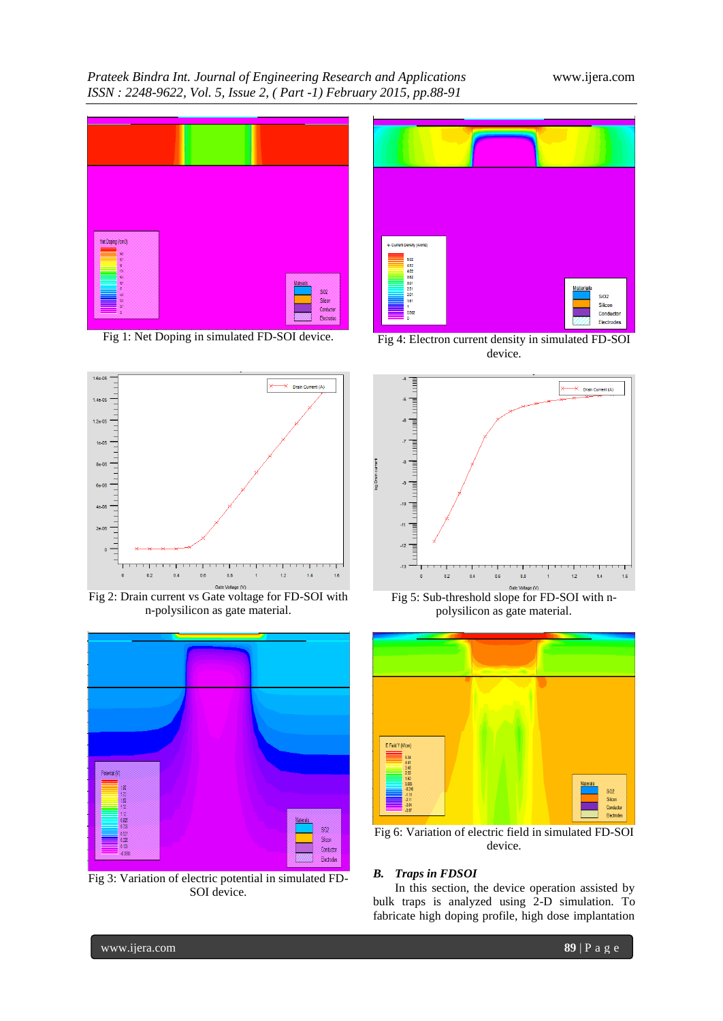## *Prateek Bindra Int. Journal of Engineering Research and Applications* www.ijera.com *ISSN : 2248-9622, Vol. 5, Issue 2, ( Part -1) February 2015, pp.88-91*



Fig 1: Net Doping in simulated FD-SOI device.



Fig 2: Drain current vs Gate voltage for FD-SOI with n-polysilicon as gate material.



Fig 3: Variation of electric potential in simulated FD-SOI device.



Fig 4: Electron current density in simulated FD-SOI device.



Fig 5: Sub-threshold slope for FD-SOI with npolysilicon as gate material.



Fig 6: Variation of electric field in simulated FD-SOI device.

#### *B. Traps in FDSOI*

In this section, the device operation assisted by bulk traps is analyzed using 2-D simulation. To fabricate high doping profile, high dose implantation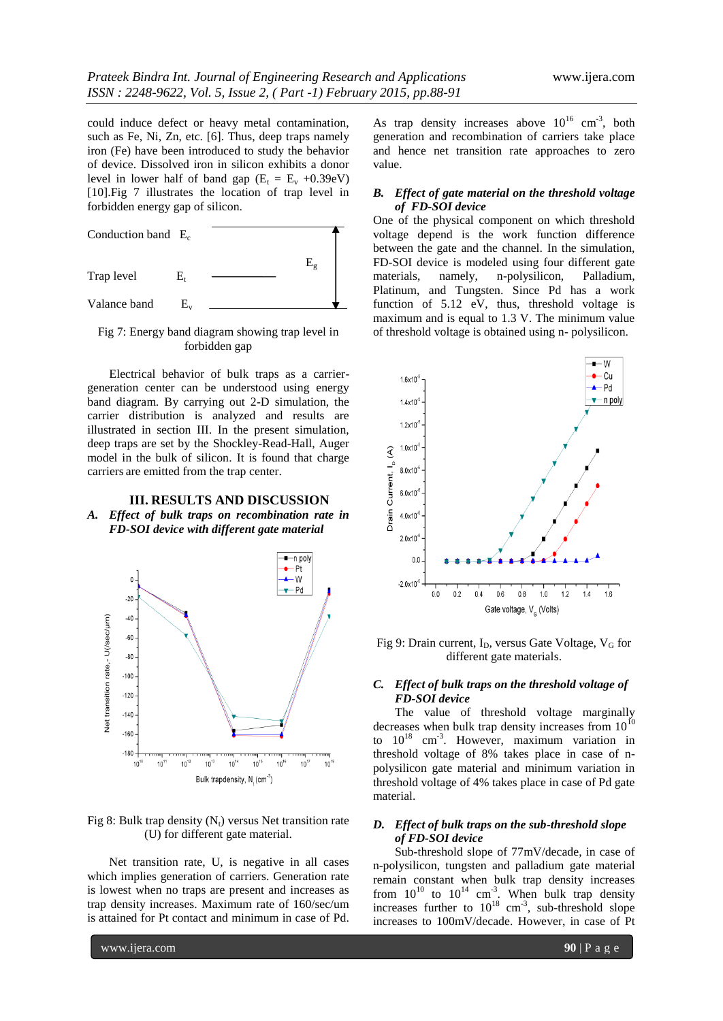could induce defect or heavy metal contamination, such as Fe, Ni, Zn, etc. [6]. Thus, deep traps namely iron (Fe) have been introduced to study the behavior of device. Dissolved iron in silicon exhibits a donor level in lower half of band gap  $(E_t = E_v + 0.39eV)$ [10].Fig 7 illustrates the location of trap level in forbidden energy gap of silicon.



Fig 7: Energy band diagram showing trap level in forbidden gap

Electrical behavior of bulk traps as a carriergeneration center can be understood using energy band diagram. By carrying out 2-D simulation, the carrier distribution is analyzed and results are illustrated in section III. In the present simulation, deep traps are set by the Shockley-Read-Hall, Auger model in the bulk of silicon. It is found that charge carriers are emitted from the trap center.

#### **III. RESULTS AND DISCUSSION** *A. Effect of bulk traps on recombination rate in FD-SOI device with different gate material*



Fig 8: Bulk trap density  $(N_t)$  versus Net transition rate (U) for different gate material.

Net transition rate, U, is negative in all cases which implies generation of carriers. Generation rate is lowest when no traps are present and increases as trap density increases. Maximum rate of 160/sec/um is attained for Pt contact and minimum in case of Pd.

As trap density increases above  $10^{16}$  cm<sup>-3</sup>, both generation and recombination of carriers take place and hence net transition rate approaches to zero value.

#### *B. Effect of gate material on the threshold voltage of FD-SOI device*

One of the physical component on which threshold voltage depend is the work function difference between the gate and the channel. In the simulation, FD-SOI device is modeled using four different gate materials, namely, n-polysilicon, Palladium, Platinum, and Tungsten. Since Pd has a work function of 5.12 eV, thus, threshold voltage is maximum and is equal to 1.3 V. The minimum value of threshold voltage is obtained using n- polysilicon.



Fig 9: Drain current,  $I_D$ , versus Gate Voltage,  $V_G$  for different gate materials.

#### *C. Effect of bulk traps on the threshold voltage of FD-SOI device*

The value of threshold voltage marginally decreases when bulk trap density increases from  $10^{10}$ to  $10^{18}$  cm<sup>-3</sup>. However, maximum variation in threshold voltage of 8% takes place in case of npolysilicon gate material and minimum variation in threshold voltage of 4% takes place in case of Pd gate material.

#### *D. Effect of bulk traps on the sub-threshold slope of FD-SOI device*

Sub-threshold slope of 77mV/decade, in case of n-polysilicon, tungsten and palladium gate material remain constant when bulk trap density increases from  $10^{10}$  to  $10^{14}$  cm<sup>-3</sup>. When bulk trap density increases further to  $10^{18}$  cm<sup>-3</sup>, sub-threshold slope increases to 100mV/decade. However, in case of Pt